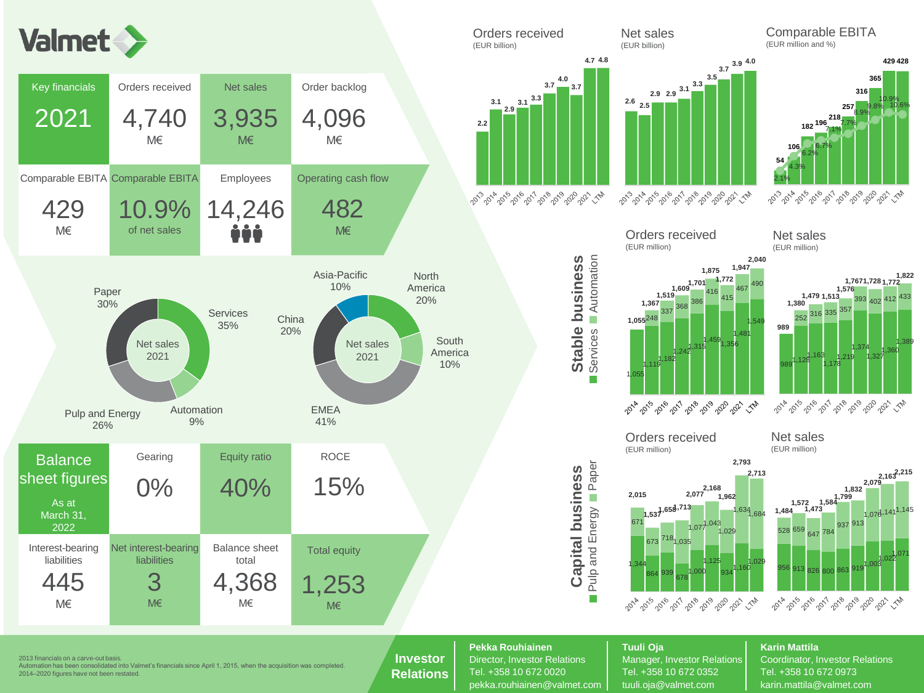









1,219 1,374 1,327 1,360 1,389

**1,576**

<sup>393</sup> <sup>402</sup> <sup>412</sup> <sup>433</sup>

**1,822**

**1,7671,728 1,772**



### 2013 financials on a carve-out basis.

Automation has been consolidated into Valmet's financials since April 1, 2015, when the acquisition was completed. 2014–2020 figures have not been restated.

### **Investor Relations**

**Pekka Rouhiainen Tuuli Oja Karin Mattila**

**Capital business**

**Capital business** 

**Paper** 

г

Stable business

Director, Investor Relations | Manager, Investor Relations | Coordinator, Investor Relations Tel. +358 10 672 0020 Tel. +358 10 672 0352 Tel. +358 10 672 0973 pekka.rouhiainen@valmet.com | tuuli.oia@valmet.com | karin.mattila@valmet.com